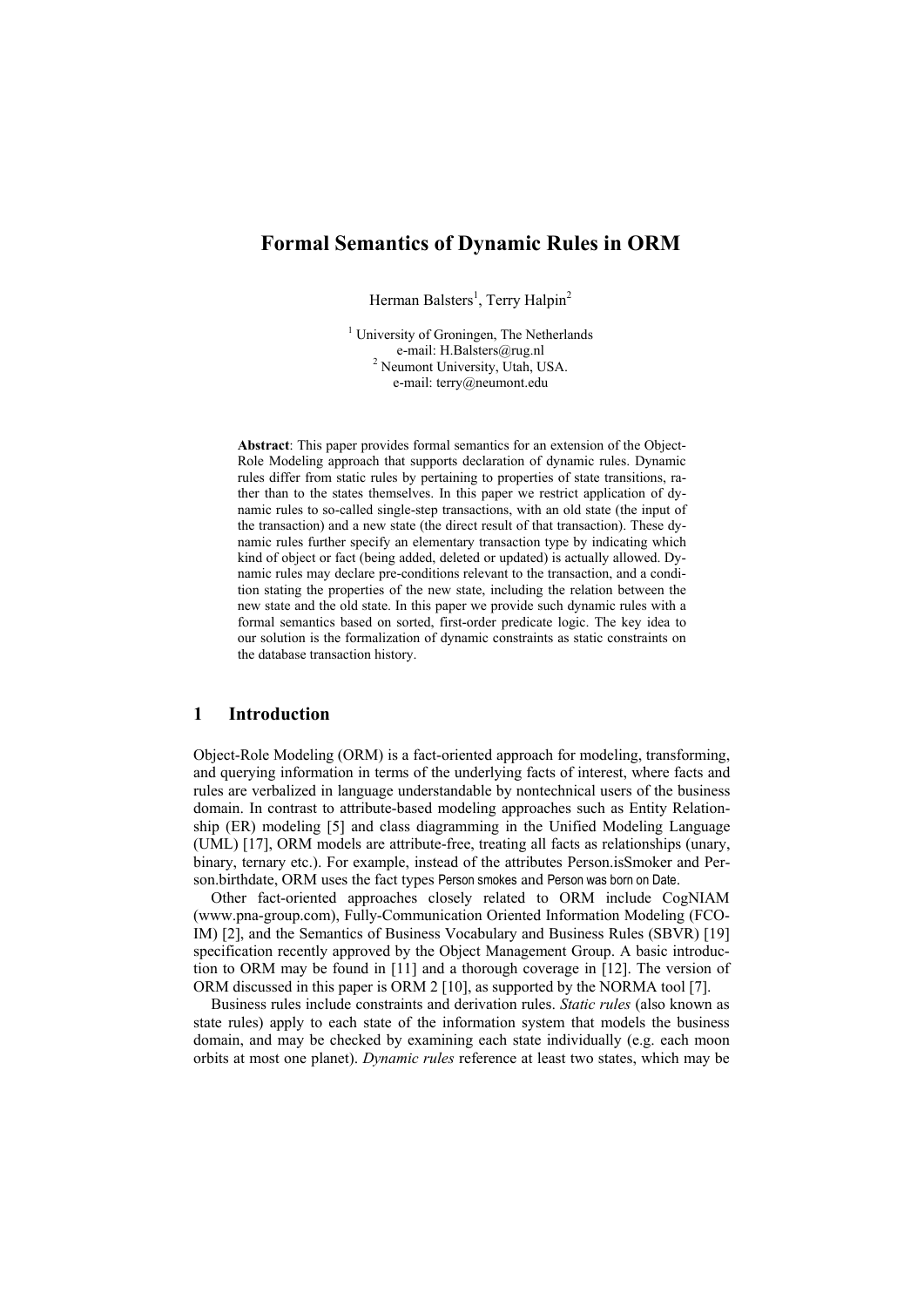# **Formal Semantics of Dynamic Rules in ORM**

Herman Balsters<sup>1</sup>, Terry Halpin<sup>2</sup>

<sup>1</sup> University of Groningen, The Netherlands e-mail: H.Balsters@rug.nl  $2$  Neumont University, Utah, USA. e-mail: terry@neumont.edu

**Abstract**: This paper provides formal semantics for an extension of the Object-Role Modeling approach that supports declaration of dynamic rules. Dynamic rules differ from static rules by pertaining to properties of state transitions, rather than to the states themselves. In this paper we restrict application of dynamic rules to so-called single-step transactions, with an old state (the input of the transaction) and a new state (the direct result of that transaction). These dynamic rules further specify an elementary transaction type by indicating which kind of object or fact (being added, deleted or updated) is actually allowed. Dynamic rules may declare pre-conditions relevant to the transaction, and a condition stating the properties of the new state, including the relation between the new state and the old state. In this paper we provide such dynamic rules with a formal semantics based on sorted, first-order predicate logic. The key idea to our solution is the formalization of dynamic constraints as static constraints on the database transaction history.

#### **1 Introduction**

Object-Role Modeling (ORM) is a fact-oriented approach for modeling, transforming, and querying information in terms of the underlying facts of interest, where facts and rules are verbalized in language understandable by nontechnical users of the business domain. In contrast to attribute-based modeling approaches such as Entity Relationship (ER) modeling [5] and class diagramming in the Unified Modeling Language (UML) [17], ORM models are attribute-free, treating all facts as relationships (unary, binary, ternary etc.). For example, instead of the attributes Person.isSmoker and Person.birthdate, ORM uses the fact types Person smokes and Person was born on Date.

Other fact-oriente[d](#page-8-0) approaches closely related to ORM include CogNIAM (www.p[na-](#page-9-0)group.com), Fully-Communication Oriented Information Modeling (FCO-IM) [2], and the Semantics of Business Vocabulary and Business Rules (SBVR) [19] specification recently approved by the Object Management Group. A basic introduction to ORM may be found in [11] and a thorough coverage in [12]. The version of ORM discussed in this paper is ORM 2 [10], as supported by the NORMA tool [7].

B[usi](#page-8-1)ness rules include constraints and derivation rules. *Static rules* (also know[n as](#page-9-1) state rules) apply to each state of the information system that models the business domain, and may be checked b[y e](#page-9-2)xamining each state individua[lly](#page-9-3) (e.g. each moon orbits at most one planet). *Dynamic rules* [r](#page-9-4)eference at least two states, which [may](#page-8-2) be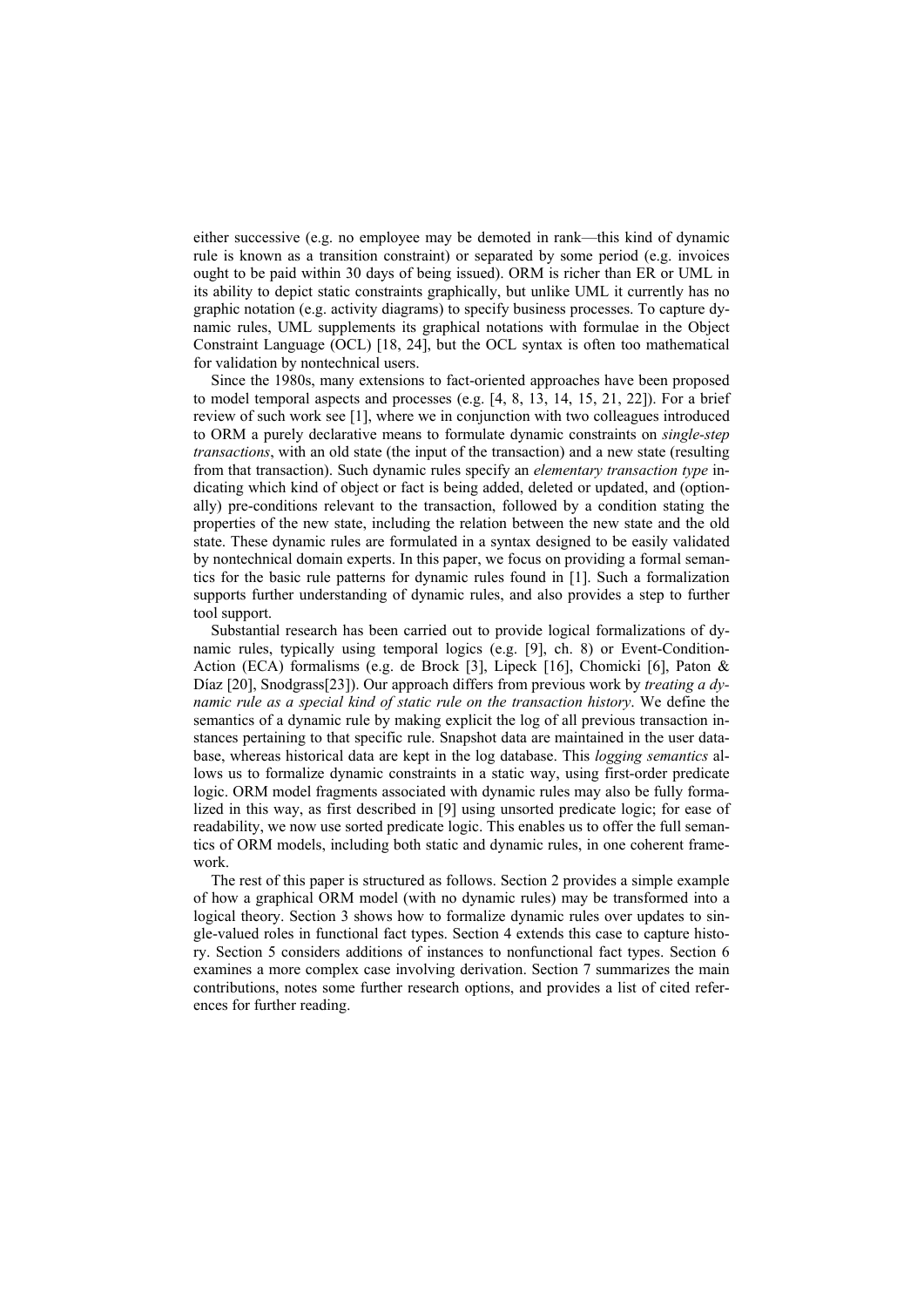either successive (e.g. no employee may be demoted in rank—this kind of dynamic rule is known as a transition constraint) or separated by some period (e.g. invoices ought to be paid within 30 days of being issued). ORM is richer than ER or UML in its ability to depict static constraints graphically, but unlike UML it currently has no graphic notation (e.g. activity diagrams) to specify business processes. To capture dynamic rules, UML supplements its graphical notations with formulae in the Object Constraint Language (OCL) [18, 24], but the OCL syntax is often too mathematical for validation by nontechnical users.

Since the 1980s, many extensions to fact-oriented approaches have been proposed to model temporal aspects and processes (e.g. [4, 8, 13, 14, 15, 21, 22]). For a brief review of such work see [1], [whe](#page-9-5)[re w](#page-9-6)e in conjunction with two colleagues introduced to ORM a purely declarative means to formulate dynamic constraints on *single-step transactions*, with an old state (the input of the transaction) and a new state (resulting from that transaction). Such dynamic rules spec[ify](#page-8-3) [a](#page-9-7)n *[el](#page-9-8)e[me](#page-9-9)[ntar](#page-9-10)[y tra](#page-9-11)[nsa](#page-9-12)ction type* indicating which kind of o[bje](#page-8-4)ct or fact is being added, deleted or updated, and (optionally) pre-conditions relevant to the transaction, followed by a condition stating the properties of the new state, including the relation between the new state and the old state. These dynamic rules are formulated in a syntax designed to be easily validated by nontechnical domain experts. In this paper, we focus on providing a formal semantics for the basic rule patterns for dynamic rules found in [1]. Such a formalization supports further understanding of dynamic rules, and also provides a step to further tool support.

Substantial research has been carried out to provide logical formalizations of dynamic rules, typically using temporal logics (e.g. [9], ch. [8](#page-8-4)) or Event-Condition-Action (ECA) formalisms (e.g. de Brock [3], Lipeck [16], Chomicki [6], Paton & Díaz [20], Snodgrass[23]). Our approach differs from previous work by *treating a dynamic rule as a special kind of static rule on the transaction history*. We define the semantics of a dynamic rule by making explicit the l[og](#page-9-13) of all previous transaction instances pertaining to that specific rule. Sna[psh](#page-8-5)ot data ar[e m](#page-9-14)aintained in t[he](#page-8-6) user database, [wh](#page-9-15)ereas histori[cal](#page-9-16) data are kept in the log database. This *logging semantics* allows us to formalize dynamic constraints in a static way, using first-order predicate logic. ORM model fragments associated with dynamic rules may also be fully formalized in this way, as first described in [9] using unsorted predicate logic; for ease of readability, we now use sorted predicate logic. This enables us to offer the full semantics of ORM models, including both static and dynamic rules, in one coherent framework.

The rest of this paper is structured as [fo](#page-9-17)llows. Section 2 provides a simple example of how a graphical ORM model (with no dynamic rules) may be transformed into a logical theory. Section 3 shows how to formalize dynamic rules over updates to single-valued roles in functional fact types. Section 4 extends this case to capture history. Section 5 considers additions of instances to nonfunctional fact types. Section 6 examines a more complex case involving derivation. Section 7 summarizes the main contributions, notes some further research options, and provides a list of cited references for further reading.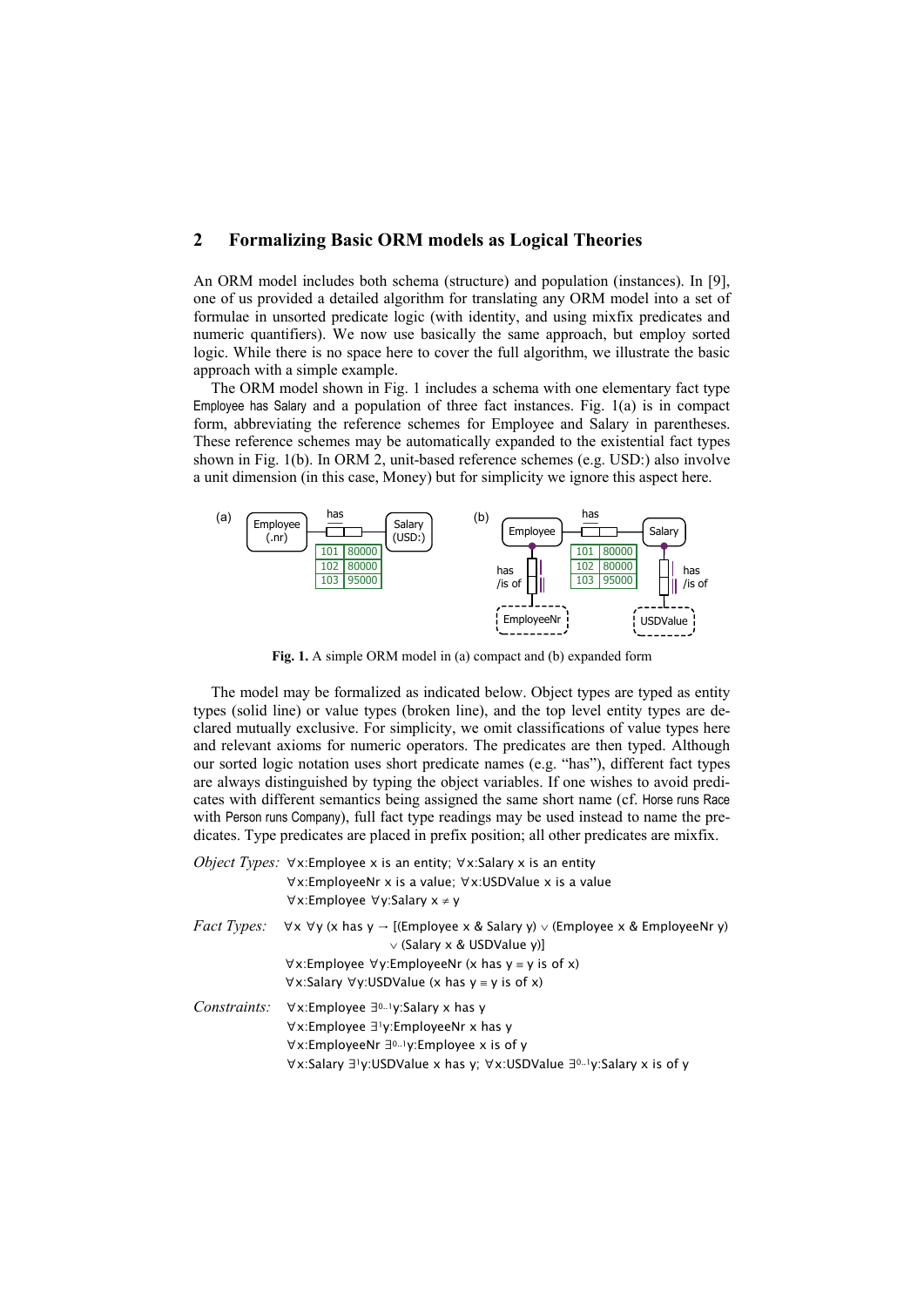#### **2 Formalizing Basic ORM models as Logical Theories**

An ORM model includes both schema (structure) and population (instances). In [9], one of us provided a detailed algorithm for translating any ORM model into a set of formulae in unsorted predicate logic (with identity, and using mixfix predicates and numeric quantifiers). We now use basically the same approach, but employ sorted logic. While there is no space here to cover the full algorithm, we illustrate the ba[si](#page-9-17)c approach with a simple example.

The ORM model shown in Fig. 1 includes a schema with one elementary fact type Employee has Salary and a population of three fact instances. Fig. 1(a) is in compact form, abbreviating the reference schemes for Employee and Salary in parentheses. These reference schemes may be automatically expanded to the existential fact types shown in Fig. 1(b). In ORM 2, unit-based reference schemes (e.g. USD:) also involve a unit dimension (in this case, Money) but for simplicity we ignore this aspect here.



**Fig. 1.** A simple ORM model in (a) compact and (b) expanded form

The model may be formalized as indicated below. Object types are typed as entity types (solid line) or value types (broken line), and the top level entity types are declared mutually exclusive. For simplicity, we omit classifications of value types here and relevant axioms for numeric operators. The predicates are then typed. Although our sorted logic notation uses short predicate names (e.g. "has"), different fact types are always distinguished by typing the object variables. If one wishes to avoid predicates with different semantics being assigned the same short name (cf. Horse runs Race with Person runs Company), full fact type readings may be used instead to name the predicates. Type predicates are placed in prefix position; all other predicates are mixfix.

|                     | <i>Object Types:</i> $\forall x$ : Employee x is an entity; $\forall x$ : Salary x is an entity<br>∀x:EmployeeNr x is a value; ∀x:USDValue x is a value<br>$\forall x$ : Employee $\forall y$ : Salary $x \neq y$                                                                                                                     |
|---------------------|---------------------------------------------------------------------------------------------------------------------------------------------------------------------------------------------------------------------------------------------------------------------------------------------------------------------------------------|
|                     | <i>Fact Types:</i> $\forall x \forall y$ (x has $y \rightarrow$ [(Employee x & Salary y) $\vee$ (Employee x & EmployeeNr y)<br>$\vee$ (Salary x & USDValue y)]<br>$\forall x$ :Employee $\forall y$ :EmployeeNr (x has $y = y$ is of x)<br>$\forall x$ :Salary $\forall y$ :USDValue (x has $y \equiv y$ is of x)                     |
| <i>Constraints:</i> | $\forall x$ :Employee $\exists$ <sup>01</sup> y:Salary x has y<br>$\forall x$ :Employee $\exists y$ :EmployeeNr x has y<br>$\forall x$ : Employee Nr $\exists$ <sup>01</sup> y: Employee x is of y<br>$\forall x$ :Salary $\exists$ <sub>'</sub> y:USDValue x has y: $\forall x$ :USDValue $\exists$ <sup>0</sup> 'y:Salary x is of y |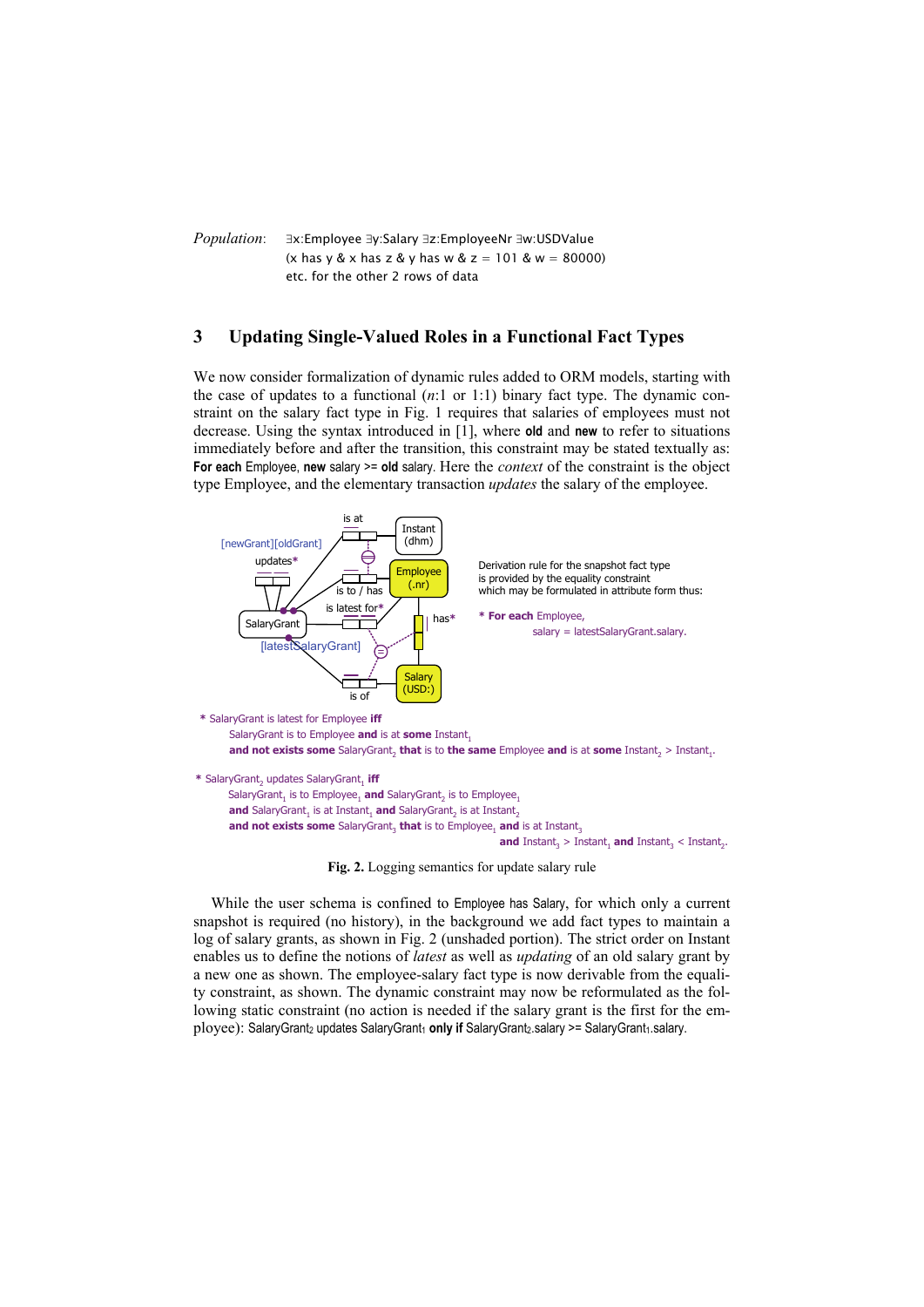*Population*: ∃x:Employee ∃y:Salary ∃z:EmployeeNr ∃w:USDValue (x has y & x has z & y has w & z = 101 & w = 80000) etc. for the other 2 rows of data

## **3 Updating Single-Valued Roles in a Functional Fact Types**

We now consider formalization of dynamic rules added to ORM models, starting with the case of updates to a functional  $(n:1 \text{ or } 1:1)$  binary fact type. The dynamic constraint on the salary fact type in Fig. 1 requires that salaries of employees must not decrease. Using the syntax introduced in [1], where **old** and **new** to refer to situations immediately before and after the transition, this constraint may be stated textually as: **For each** Employee, **new** salary >= **old** salary. Here the *context* of the constraint is the object type Employee, and the elementary transaction *updates* the salary of the employee.



**Fig. 2.** Logging semantics for update salary rule

While the user schema is confined to Employee has Salary, for which only a current snapshot is required (no history), in the background we add fact types to maintain a log of salary grants, as shown in Fig. 2 (unshaded portion). The strict order on Instant enables us to define the notions of *latest* as well as *updating* of an old salary grant by a new one as shown. The employee-salary fact type is now derivable from the equality constraint, as shown. The dynamic constraint may now be reformulated as the following static constraint (no action is needed if the salary grant is the first for the employee): SalaryGrant<sub>2</sub> updates SalaryGrant<sub>1</sub> only if SalaryGrant<sub>2</sub>.salary >= SalaryGrant<sub>1</sub>.salary.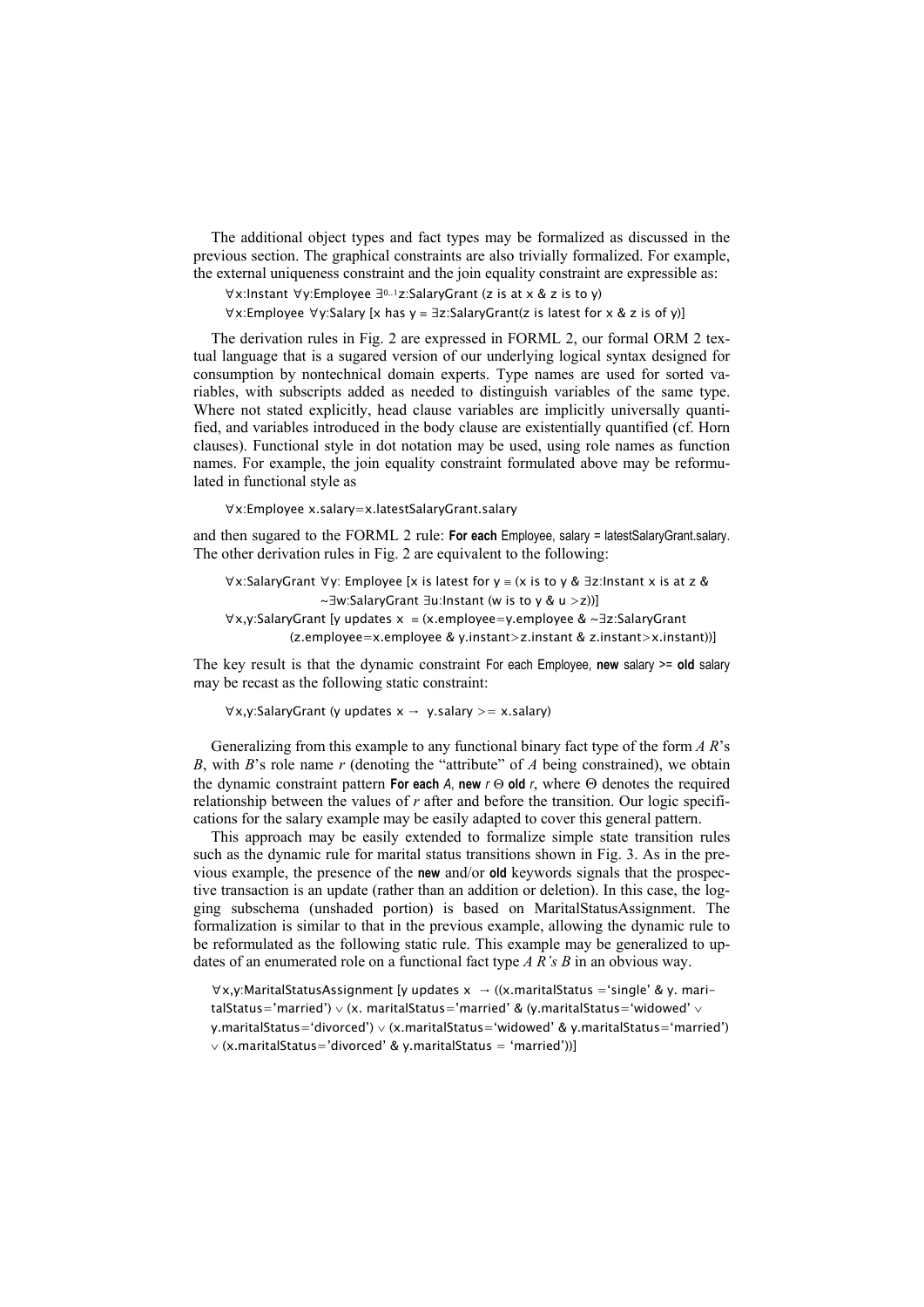The additional object types and fact types may be formalized as discussed in the previous section. The graphical constraints are also trivially formalized. For example, the external uniqueness constraint and the join equality constraint are expressible as:

∀x:Instant ∀y:Employee ∃0..1z:SalaryGrant (z is at x & z is to y)

∀x:Employee ∀y:Salary [x has y ≡ ∃z:SalaryGrant(z is latest for x & z is of y)]

The derivation rules in Fig. 2 are expressed in FORML 2, our formal ORM 2 textual language that is a sugared version of our underlying logical syntax designed for consumption by nontechnical domain experts. Type names are used for sorted variables, with subscripts added as needed to distinguish variables of the same type. Where not stated explicitly, head clause variables are implicitly universally quantified, and variables introduced in the body clause are existentially quantified (cf. Horn clauses). Functional style in dot notation may be used, using role names as function names. For example, the join equality constraint formulated above may be reformulated in functional style as

∀x:Employee x.salary=x.latestSalaryGrant.salary

and then sugared to the FORML 2 rule: **For each** Employee, salary = latestSalaryGrant.salary. The other derivation rules in Fig. 2 are equivalent to the following:

∀x:SalaryGrant ∀y: Employee [x is latest for y ≡ (x is to y & ∃z:Instant x is at z & ~∃w:SalaryGrant ∃u:Instant (w is to y & u >z))] ∀x,y:SalaryGrant [y updates x ≡ (x.employee=y.employee & ~∃z:SalaryGrant (z.employee=x.employee & y.instant>z.instant & z.instant>x.instant))]

The key result is that the dynamic constraint For each Employee, **new** salary >= **old** salary may be recast as the following static constraint:

 $\forall x,y$ :SalaryGrant (y updates  $x \rightarrow y$ .salary >= x.salary)

Generalizing from this example to any functional binary fact type of the form *A R*'s *B*, with *B*'s role name *r* (denoting the "attribute" of *A* being constrained), we obtain the dynamic constraint pattern **For each** *A*, **new** *r* Θ **old** *r*, where Θ denotes the required relationship between the values of *r* after and before the transition. Our logic specifications for the salary example may be easily adapted to cover this general pattern.

This approach may be easily extended to formalize simple state transition rules such as the dynamic rule for marital status transitions shown in Fig. 3. As in the previous example, the presence of the **new** and/or **old** keywords signals that the prospective transaction is an update (rather than an addition or deletion). In this case, the logging subschema (unshaded portion) is based on MaritalStatusAssignment. The formalization is similar to that in the previous example, allowing the dynamic rule to be reformulated as the following static rule. This example may be generalized to updates of an enumerated role on a functional fact type *A R's B* in an obvious way.

 $\forall x,y$ :MaritalStatusAssignment [y updates  $x \rightarrow ((x)$ maritalStatus = 'single' & y. maritalStatus='married') ∨ (x. maritalStatus='married' & (y.maritalStatus='widowed' ∨ y.maritalStatus='divorced') ∨ (x.maritalStatus='widowed' & y.maritalStatus='married') ∨ (x.maritalStatus='divorced' & y.maritalStatus = 'married'))]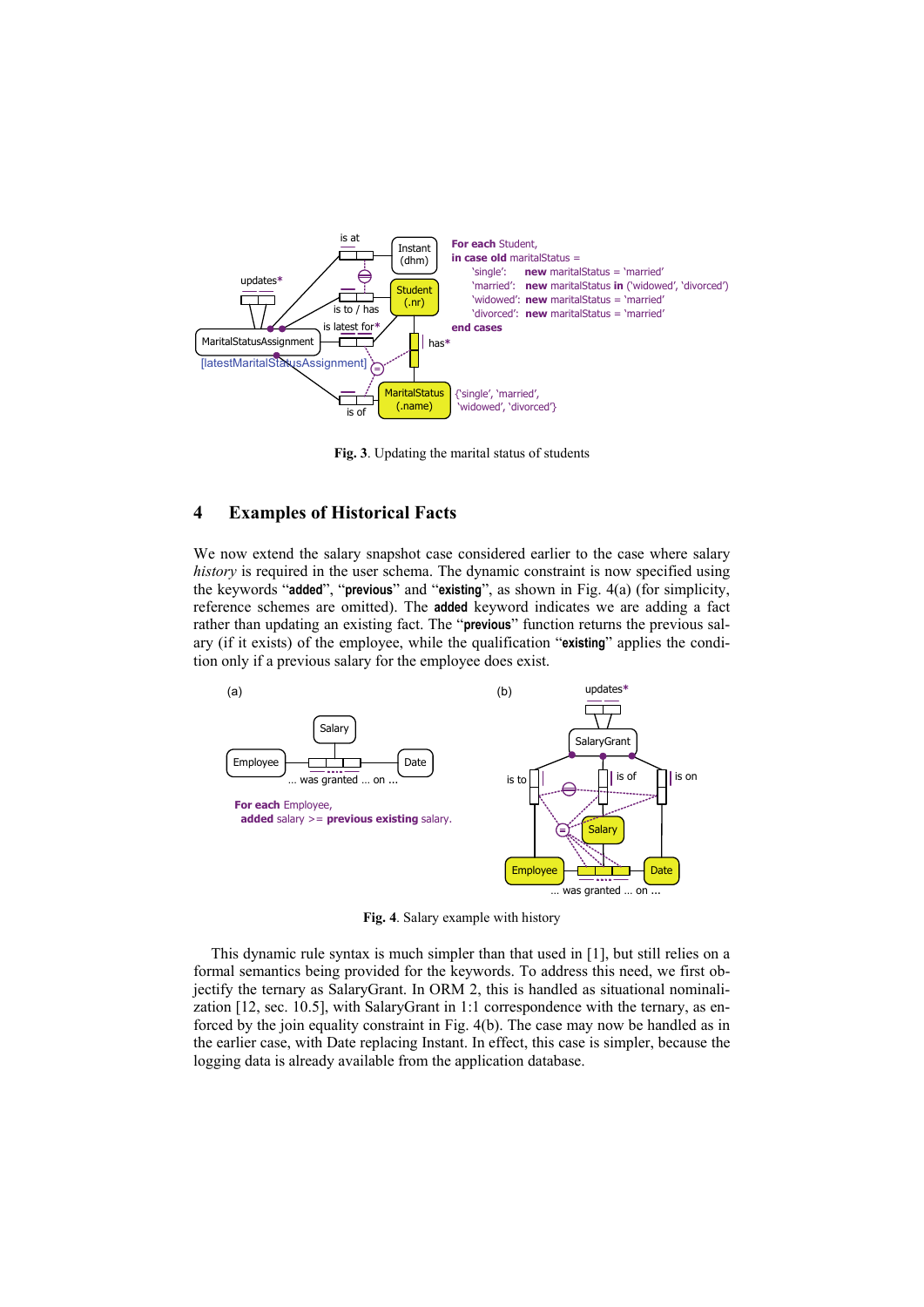

**Fig. 3**. Updating the marital status of students

### **4 Examples of Historical Facts**

We now extend the salary snapshot case considered earlier to the case where salary *history* is required in the user schema. The dynamic constraint is now specified using the keywords "**added**", "**previous**" and "**existing**", as shown in Fig. 4(a) (for simplicity, reference schemes are omitted). The **added** keyword indicates we are adding a fact rather than updating an existing fact. The "**previous**" function returns the previous salary (if it exists) of the employee, while the qualification "**existing**" applies the condition only if a previous salary for the employee does exist.



**Fig. 4**. Salary example with history

This dynamic rule syntax is much simpler than that used in [1], but still relies on a formal semantics being provided for the keywords. To address this need, we first objectify the ternary as SalaryGrant. In ORM 2, this is handled as situational nominalization [12, sec. 10.5], with SalaryGrant in 1:1 correspondence with the ternary, as enforced by the join equality constraint in Fig. 4(b). The case ma[y n](#page-8-4)ow be handled as in the earlier case, with Date replacing Instant. In effect, this case is simpler, because the logging data is already available from the application database.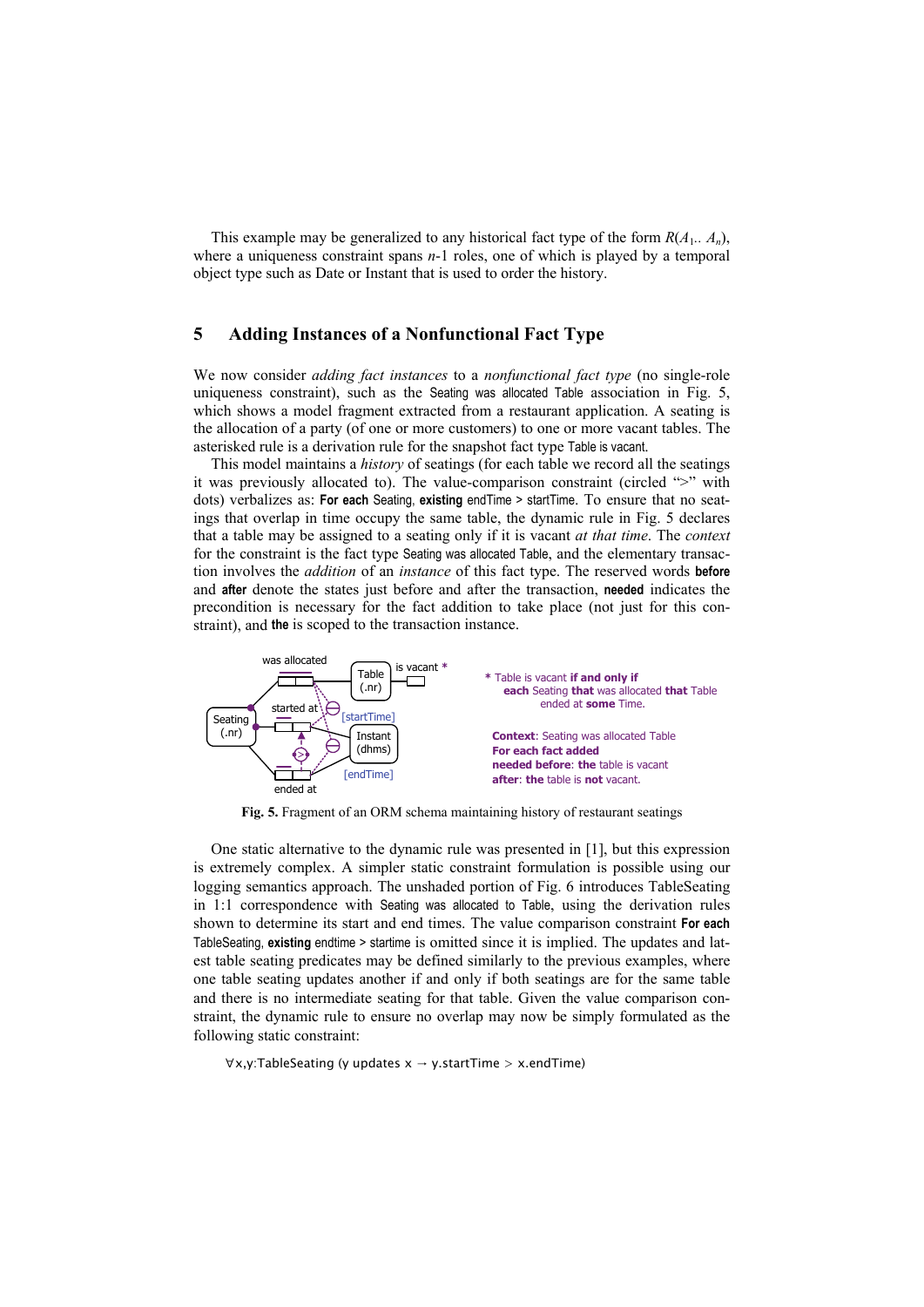This example may be generalized to any historical fact type of the form  $R(A_1, A_n)$ , where a uniqueness constraint spans *n*-1 roles, one of which is played by a temporal object type such as Date or Instant that is used to order the history.

## **5 Adding Instances of a Nonfunctional Fact Type**

We now consider *adding fact instances* to a *nonfunctional fact type* (no single-role uniqueness constraint), such as the Seating was allocated Table association in Fig. 5, which shows a model fragment extracted from a restaurant application. A seating is the allocation of a party (of one or more customers) to one or more vacant tables. The asterisked rule is a derivation rule for the snapshot fact type Table is vacant.

This model maintains a *history* of seatings (for each table we record all the seatings it was previously allocated to). The value-comparison constraint (circled ">" with dots) verbalizes as: **For each** Seating, **existing** endTime > startTime. To ensure that no seatings that overlap in time occupy the same table, the dynamic rule in Fig. 5 declares that a table may be assigned to a seating only if it is vacant *at that time*. The *context* for the constraint is the fact type Seating was allocated Table, and the elementary transaction involves the *addition* of an *instance* of this fact type. The reserved words **before** and **after** denote the states just before and after the transaction, **needed** indicates the precondition is necessary for the fact addition to take place (not just for this constraint), and **the** is scoped to the transaction instance.



**Fig. 5.** Fragment of an ORM schema maintaining history of restaurant seatings

One static alternative to the dynamic rule was presented in [1], but this expression is extremely complex. A simpler static constraint formulation is possible using our logging semantics approach. The unshaded portion of Fig. 6 introduces TableSeating in 1:1 correspondence with Seating was allocated to Table, using the derivation rules shown to determine its start and end times. The value compari[so](#page-8-4)n constraint **For each** TableSeating, **existing** endtime > startime is omitted since it is implied. The updates and latest table seating predicates may be defined similarly to the previous examples, where one table seating updates another if and only if both seatings are for the same table and there is no intermediate seating for that table. Given the value comparison constraint, the dynamic rule to ensure no overlap may now be simply formulated as the following static constraint:

 $\forall x,y$ :TableSeating (y updates  $x \rightarrow y$ .startTime > x.endTime)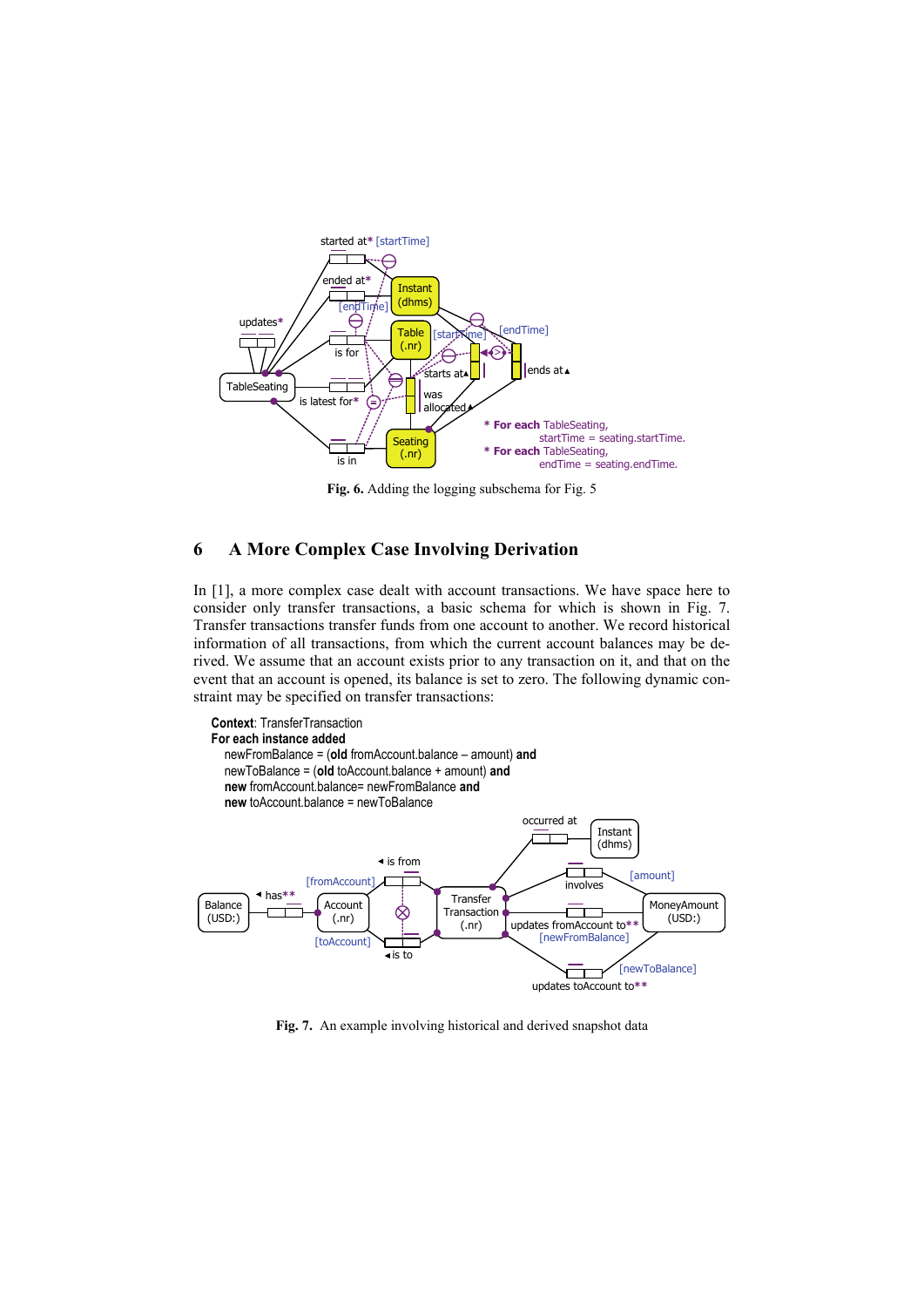

**Fig. 6.** Adding the logging subschema for Fig. 5

## **6 A More Complex Case Involving Derivation**

In [1], a more complex case dealt with account transactions. We have space here to consider only transfer transactions, a basic schema for which is shown in Fig. 7. Transfer transactions transfer funds from one account to another. We record historical information of all transactions, from which the current account balances may be deriv[ed](#page-8-4). We assume that an account exists prior to any transaction on it, and that on the event that an account is opened, its balance is set to zero. The following dynamic constraint may be specified on transfer transactions:



**Fig. 7.** An example involving historical and derived snapshot data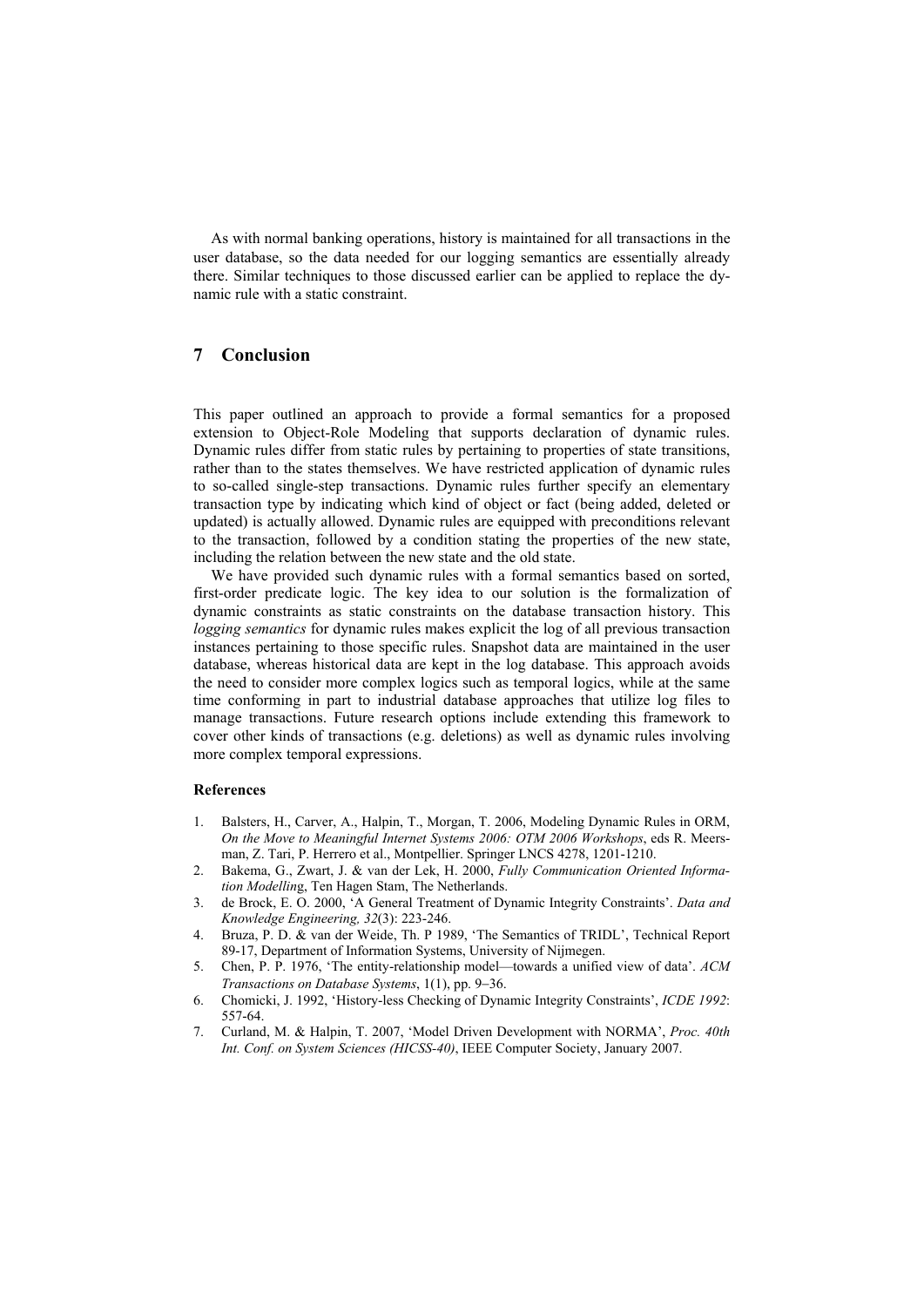As with normal banking operations, history is maintained for all transactions in the user database, so the data needed for our logging semantics are essentially already there. Similar techniques to those discussed earlier can be applied to replace the dynamic rule with a static constraint.

## **7 Conclusion**

This paper outlined an approach to provide a formal semantics for a proposed extension to Object-Role Modeling that supports declaration of dynamic rules. Dynamic rules differ from static rules by pertaining to properties of state transitions, rather than to the states themselves. We have restricted application of dynamic rules to so-called single-step transactions. Dynamic rules further specify an elementary transaction type by indicating which kind of object or fact (being added, deleted or updated) is actually allowed. Dynamic rules are equipped with preconditions relevant to the transaction, followed by a condition stating the properties of the new state, including the relation between the new state and the old state.

We have provided such dynamic rules with a formal semantics based on sorted, first-order predicate logic. The key idea to our solution is the formalization of dynamic constraints as static constraints on the database transaction history. This *logging semantics* for dynamic rules makes explicit the log of all previous transaction instances pertaining to those specific rules. Snapshot data are maintained in the user database, whereas historical data are kept in the log database. This approach avoids the need to consider more complex logics such as temporal logics, while at the same time conforming in part to industrial database approaches that utilize log files to manage transactions. Future research options include extending this framework to cover other kinds of transactions (e.g. deletions) as well as dynamic rules involving more complex temporal expressions.

#### **References**

- <span id="page-8-4"></span>1. Balsters, H., Carver, A., Halpin, T., Morgan, T. 2006, Modeling Dynamic Rules in ORM, *On the Move to Meaningful Internet Systems 2006: OTM 2006 Workshops*, eds R. Meersman, Z. Tari, P. Herrero et al., Montpellier. Springer LNCS 4278, 1201-1210.
- <span id="page-8-1"></span>2. Bakema, G., Zwart, J. & van der Lek, H. 2000, *Fully Communication Oriented Information Modellin*g, Ten Hagen Stam, The Netherlands.
- <span id="page-8-5"></span>3. de Brock, E. O. 2000, 'A General Treatment of Dynamic Integrity Constraints'. *Data and Knowledge Engineering, 32*(3): 223-246.
- <span id="page-8-3"></span>4. Bruza, P. D. & van der Weide, Th. P 1989, 'The Semantics of TRIDL', Technical Report 89-17, Department of Information Systems, University of Nijmegen.
- <span id="page-8-0"></span>5. Chen, P. P. 1976, 'The entity-relationship model—towards a unified view of data'. *ACM Transactions on Database Systems*, 1(1), pp. 9−36.
- <span id="page-8-6"></span>6. Chomicki, J. 1992, 'History-less Checking of Dynamic Integrity Constraints', *ICDE 1992*: 557-64.
- <span id="page-8-2"></span>7. Curland, M. & Halpin, T. 2007, 'Model Driven Development with NORMA', *Proc. 40th Int. Conf. on System Sciences (HICSS-40)*, IEEE Computer Society, January 2007.